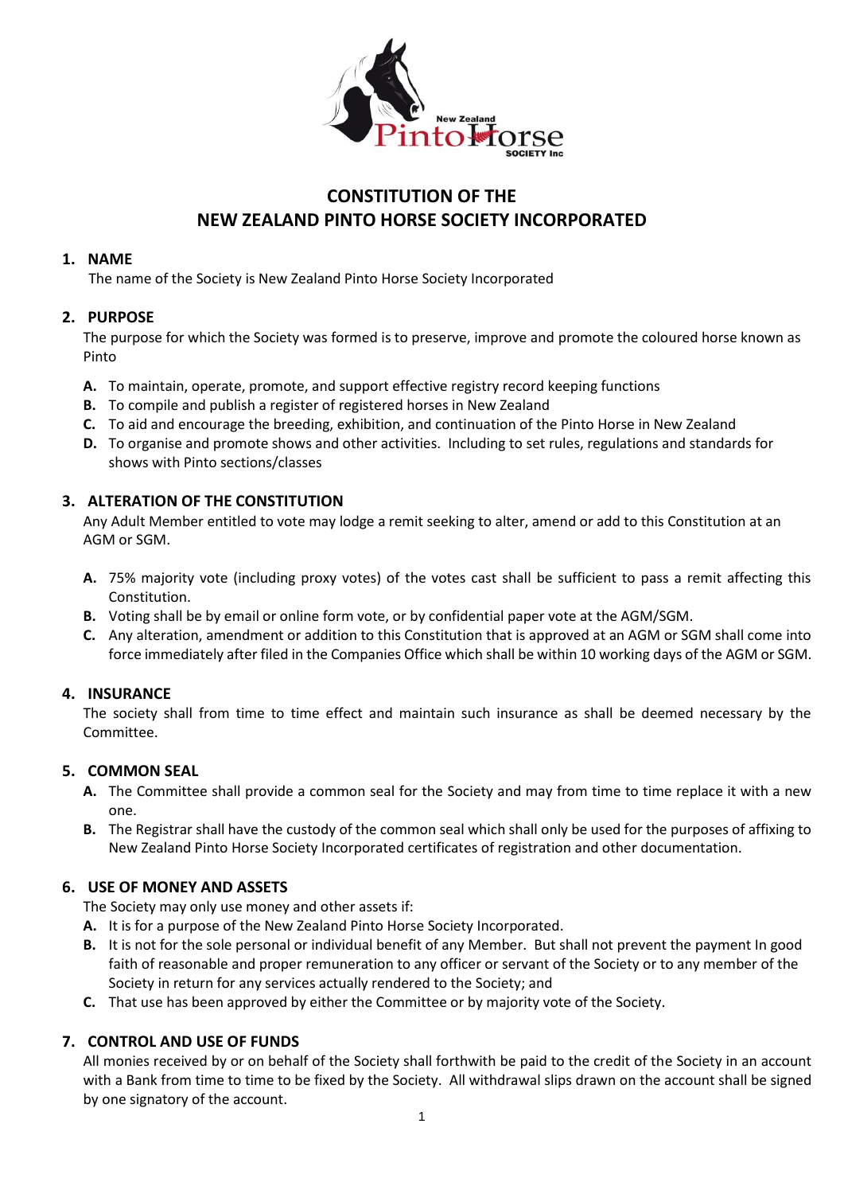

# **CONSTITUTION OF THE NEW ZEALAND PINTO HORSE SOCIETY INCORPORATED**

## **1. NAME**

The name of the Society is New Zealand Pinto Horse Society Incorporated

## **2. PURPOSE**

The purpose for which the Society was formed is to preserve, improve and promote the coloured horse known as Pinto

- **A.** To maintain, operate, promote, and support effective registry record keeping functions
- **B.** To compile and publish a register of registered horses in New Zealand
- **C.** To aid and encourage the breeding, exhibition, and continuation of the Pinto Horse in New Zealand
- **D.** To organise and promote shows and other activities. Including to set rules, regulations and standards for shows with Pinto sections/classes

## **3. ALTERATION OF THE CONSTITUTION**

Any Adult Member entitled to vote may lodge a remit seeking to alter, amend or add to this Constitution at an AGM or SGM.

- **A.** 75% majority vote (including proxy votes) of the votes cast shall be sufficient to pass a remit affecting this Constitution.
- **B.** Voting shall be by email or online form vote, or by confidential paper vote at the AGM/SGM.
- **C.** Any alteration, amendment or addition to this Constitution that is approved at an AGM or SGM shall come into force immediately after filed in the Companies Office which shall be within 10 working days of the AGM or SGM.

## **4. INSURANCE**

The society shall from time to time effect and maintain such insurance as shall be deemed necessary by the Committee.

## **5. COMMON SEAL**

- **A.** The Committee shall provide a common seal for the Society and may from time to time replace it with a new one.
- **B.** The Registrar shall have the custody of the common seal which shall only be used for the purposes of affixing to New Zealand Pinto Horse Society Incorporated certificates of registration and other documentation.

## **6. USE OF MONEY AND ASSETS**

The Society may only use money and other assets if:

- **A.** It is for a purpose of the New Zealand Pinto Horse Society Incorporated.
- **B.** It is not for the sole personal or individual benefit of any Member. But shall not prevent the payment In good faith of reasonable and proper remuneration to any officer or servant of the Society or to any member of the Society in return for any services actually rendered to the Society; and
- **C.** That use has been approved by either the Committee or by majority vote of the Society.

## **7. CONTROL AND USE OF FUNDS**

All monies received by or on behalf of the Society shall forthwith be paid to the credit of the Society in an account with a Bank from time to time to be fixed by the Society. All withdrawal slips drawn on the account shall be signed by one signatory of the account.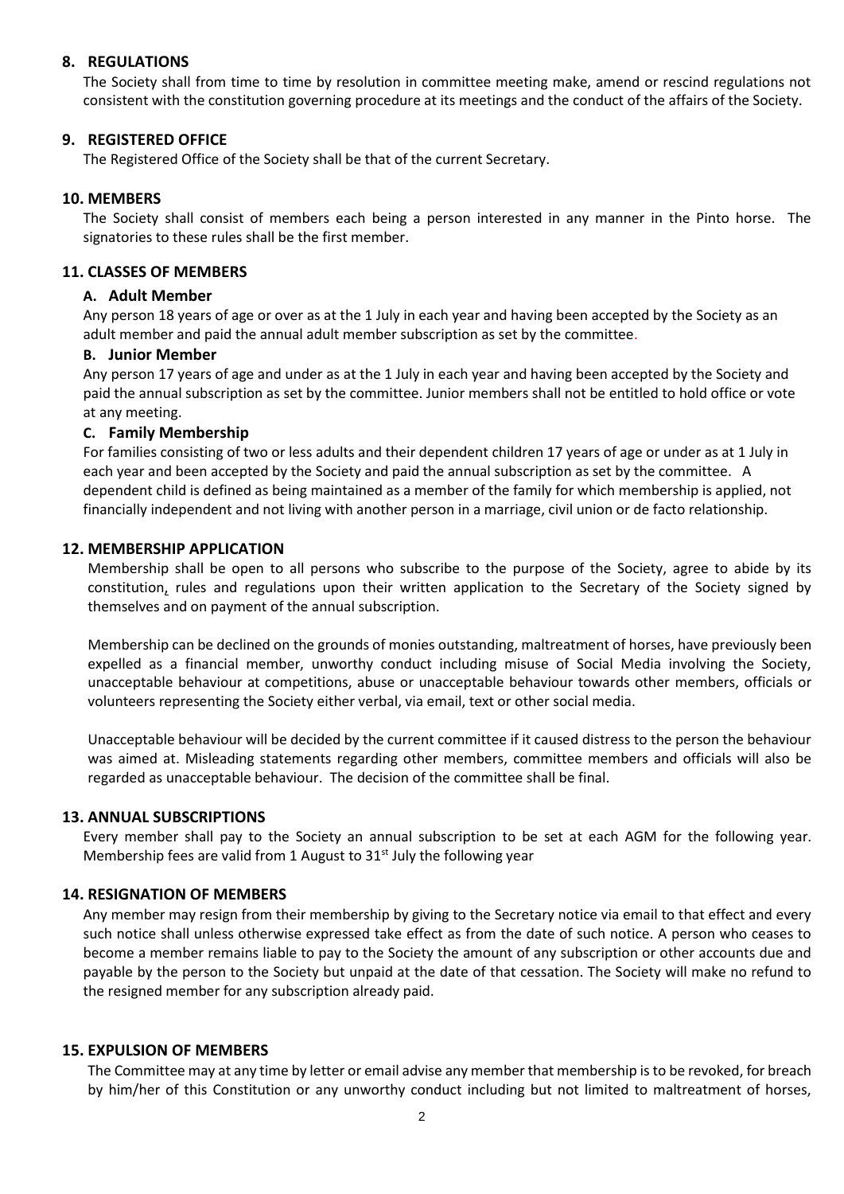#### **8. REGULATIONS**

The Society shall from time to time by resolution in committee meeting make, amend or rescind regulations not consistent with the constitution governing procedure at its meetings and the conduct of the affairs of the Society.

#### **9. REGISTERED OFFICE**

The Registered Office of the Society shall be that of the current Secretary.

#### **10. MEMBERS**

The Society shall consist of members each being a person interested in any manner in the Pinto horse. The signatories to these rules shall be the first member.

#### **11. CLASSES OF MEMBERS**

## **A. Adult Member**

Any person 18 years of age or over as at the 1 July in each year and having been accepted by the Society as an adult member and paid the annual adult member subscription as set by the committee.

#### **B. Junior Member**

Any person 17 years of age and under as at the 1 July in each year and having been accepted by the Society and paid the annual subscription as set by the committee. Junior members shall not be entitled to hold office or vote at any meeting.

## **C. Family Membership**

For families consisting of two or less adults and their dependent children 17 years of age or under as at 1 July in each year and been accepted by the Society and paid the annual subscription as set by the committee. A dependent child is defined as being maintained as a member of the family for which membership is applied, not financially independent and not living with another person in a marriage, civil union or de facto relationship.

## **12. MEMBERSHIP APPLICATION**

Membership shall be open to all persons who subscribe to the purpose of the Society, agree to abide by its constitution, rules and regulations upon their written application to the Secretary of the Society signed by themselves and on payment of the annual subscription.

Membership can be declined on the grounds of monies outstanding, maltreatment of horses, have previously been expelled as a financial member, unworthy conduct including misuse of Social Media involving the Society, unacceptable behaviour at competitions, abuse or unacceptable behaviour towards other members, officials or volunteers representing the Society either verbal, via email, text or other social media.

Unacceptable behaviour will be decided by the current committee if it caused distress to the person the behaviour was aimed at. Misleading statements regarding other members, committee members and officials will also be regarded as unacceptable behaviour. The decision of the committee shall be final.

#### **13. ANNUAL SUBSCRIPTIONS**

Every member shall pay to the Society an annual subscription to be set at each AGM for the following year. Membership fees are valid from 1 August to  $31<sup>st</sup>$  July the following year

#### **14. RESIGNATION OF MEMBERS**

Any member may resign from their membership by giving to the Secretary notice via email to that effect and every such notice shall unless otherwise expressed take effect as from the date of such notice. A person who ceases to become a member remains liable to pay to the Society the amount of any subscription or other accounts due and payable by the person to the Society but unpaid at the date of that cessation. The Society will make no refund to the resigned member for any subscription already paid.

#### **15. EXPULSION OF MEMBERS**

The Committee may at any time by letter or email advise any member that membership is to be revoked, for breach by him/her of this Constitution or any unworthy conduct including but not limited to maltreatment of horses,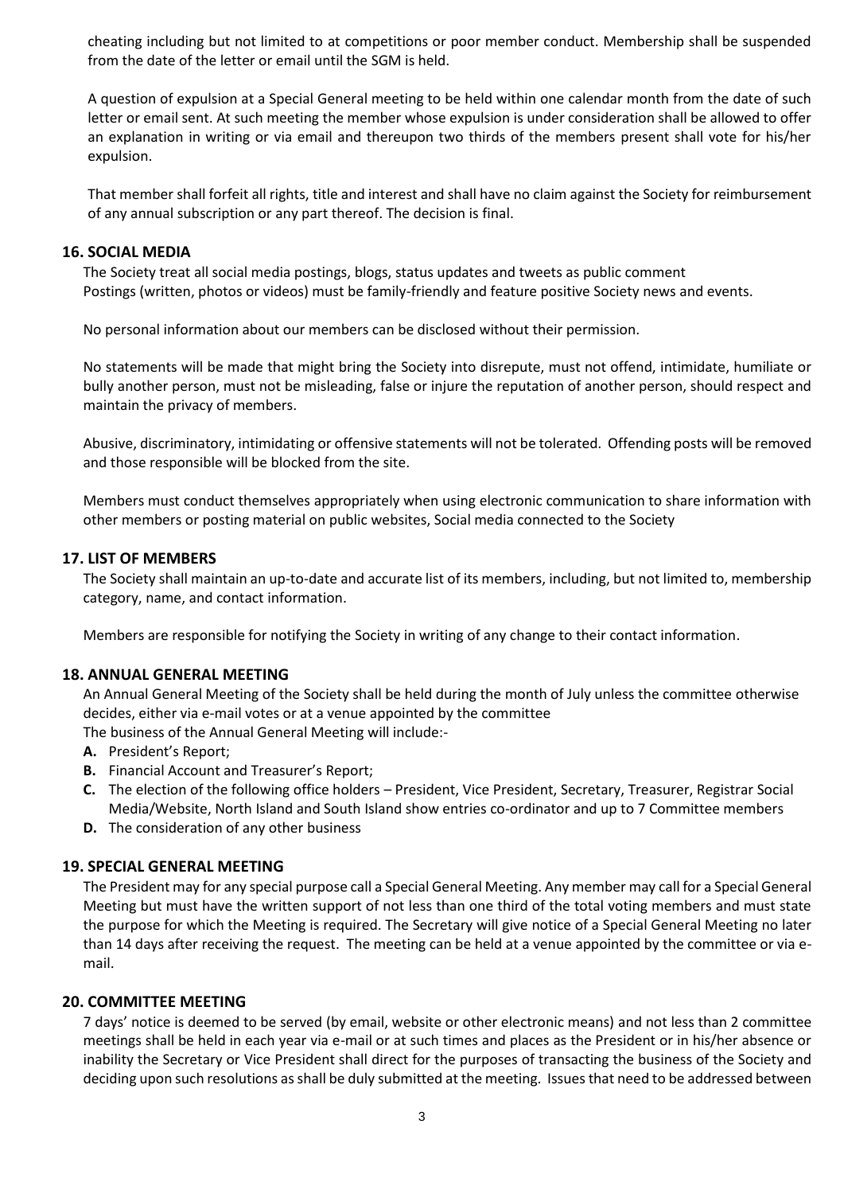cheating including but not limited to at competitions or poor member conduct. Membership shall be suspended from the date of the letter or email until the SGM is held.

A question of expulsion at a Special General meeting to be held within one calendar month from the date of such letter or email sent. At such meeting the member whose expulsion is under consideration shall be allowed to offer an explanation in writing or via email and thereupon two thirds of the members present shall vote for his/her expulsion.

That member shall forfeit all rights, title and interest and shall have no claim against the Society for reimbursement of any annual subscription or any part thereof. The decision is final.

#### **16. SOCIAL MEDIA**

The Society treat all social media postings, blogs, status updates and tweets as public comment Postings (written, photos or videos) must be family-friendly and feature positive Society news and events.

No personal information about our members can be disclosed without their permission.

No statements will be made that might bring the Society into disrepute, must not offend, intimidate, humiliate or bully another person, must not be misleading, false or injure the reputation of another person, should respect and maintain the privacy of members.

Abusive, discriminatory, intimidating or offensive statements will not be tolerated. Offending posts will be removed and those responsible will be blocked from the site.

Members must conduct themselves appropriately when using electronic communication to share information with other members or posting material on public websites, Social media connected to the Society

#### **17. LIST OF MEMBERS**

The Society shall maintain an up-to-date and accurate list of its members, including, but not limited to, membership category, name, and contact information.

Members are responsible for notifying the Society in writing of any change to their contact information.

#### **18. ANNUAL GENERAL MEETING**

An Annual General Meeting of the Society shall be held during the month of July unless the committee otherwise decides, either via e-mail votes or at a venue appointed by the committee The business of the Annual General Meeting will include:-

- **A.** President's Report;
- **B.** Financial Account and Treasurer's Report;
- **C.** The election of the following office holders President, Vice President, Secretary, Treasurer, Registrar Social Media/Website, North Island and South Island show entries co-ordinator and up to 7 Committee members
- **D.** The consideration of any other business

#### **19. SPECIAL GENERAL MEETING**

The President may for any special purpose call a Special General Meeting. Any member may call for a Special General Meeting but must have the written support of not less than one third of the total voting members and must state the purpose for which the Meeting is required. The Secretary will give notice of a Special General Meeting no later than 14 days after receiving the request. The meeting can be held at a venue appointed by the committee or via email.

#### **20. COMMITTEE MEETING**

7 days' notice is deemed to be served (by email, website or other electronic means) and not less than 2 committee meetings shall be held in each year via e-mail or at such times and places as the President or in his/her absence or inability the Secretary or Vice President shall direct for the purposes of transacting the business of the Society and deciding upon such resolutions as shall be duly submitted at the meeting. Issues that need to be addressed between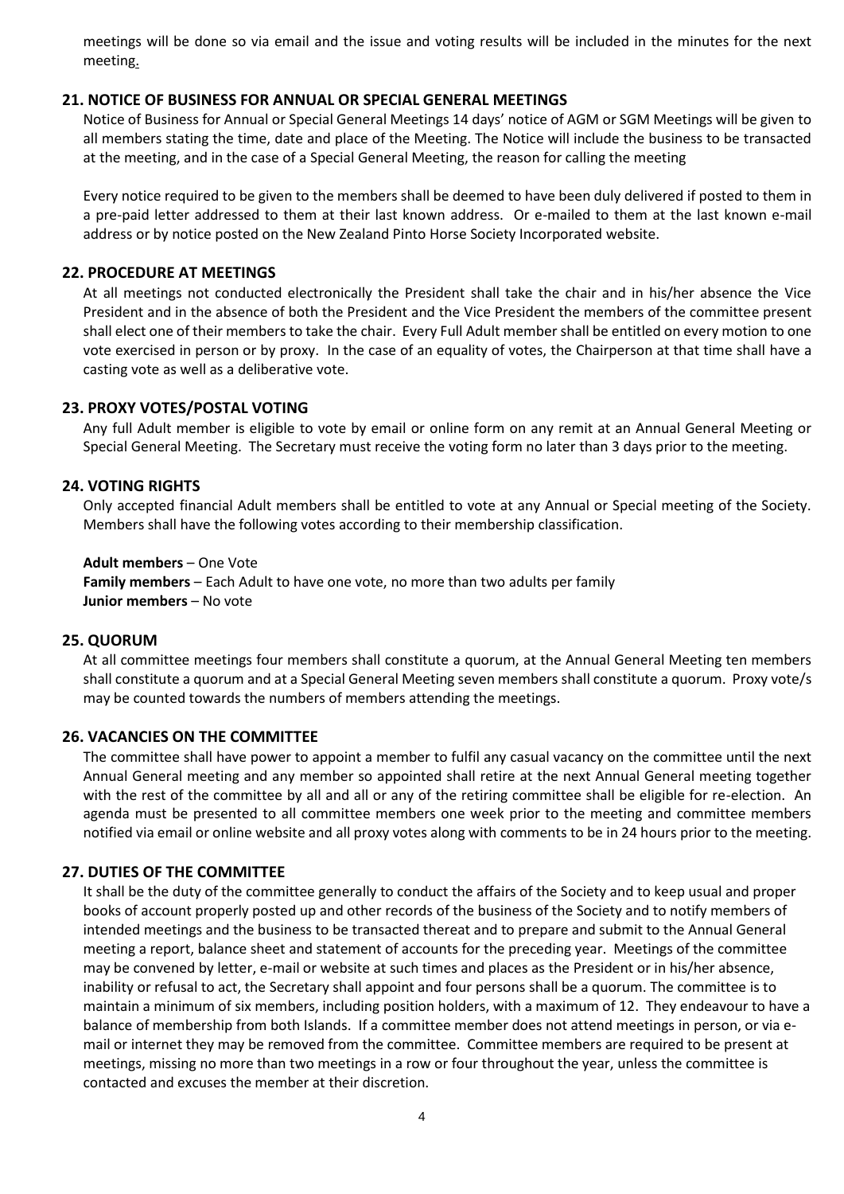meetings will be done so via email and the issue and voting results will be included in the minutes for the next meeting.

## **21. NOTICE OF BUSINESS FOR ANNUAL OR SPECIAL GENERAL MEETINGS**

Notice of Business for Annual or Special General Meetings 14 days' notice of AGM or SGM Meetings will be given to all members stating the time, date and place of the Meeting. The Notice will include the business to be transacted at the meeting, and in the case of a Special General Meeting, the reason for calling the meeting

Every notice required to be given to the members shall be deemed to have been duly delivered if posted to them in a pre-paid letter addressed to them at their last known address. Or e-mailed to them at the last known e-mail address or by notice posted on the New Zealand Pinto Horse Society Incorporated website.

#### **22. PROCEDURE AT MEETINGS**

At all meetings not conducted electronically the President shall take the chair and in his/her absence the Vice President and in the absence of both the President and the Vice President the members of the committee present shall elect one of their members to take the chair. Every Full Adult member shall be entitled on every motion to one vote exercised in person or by proxy. In the case of an equality of votes, the Chairperson at that time shall have a casting vote as well as a deliberative vote.

#### **23. PROXY VOTES/POSTAL VOTING**

Any full Adult member is eligible to vote by email or online form on any remit at an Annual General Meeting or Special General Meeting. The Secretary must receive the voting form no later than 3 days prior to the meeting.

## **24. VOTING RIGHTS**

Only accepted financial Adult members shall be entitled to vote at any Annual or Special meeting of the Society. Members shall have the following votes according to their membership classification.

#### **Adult members** – One Vote

**Family members** – Each Adult to have one vote, no more than two adults per family **Junior members** – No vote

#### **25. QUORUM**

At all committee meetings four members shall constitute a quorum, at the Annual General Meeting ten members shall constitute a quorum and at a Special General Meeting seven members shall constitute a quorum. Proxy vote/s may be counted towards the numbers of members attending the meetings.

#### **26. VACANCIES ON THE COMMITTEE**

The committee shall have power to appoint a member to fulfil any casual vacancy on the committee until the next Annual General meeting and any member so appointed shall retire at the next Annual General meeting together with the rest of the committee by all and all or any of the retiring committee shall be eligible for re-election. An agenda must be presented to all committee members one week prior to the meeting and committee members notified via email or online website and all proxy votes along with comments to be in 24 hours prior to the meeting.

#### **27. DUTIES OF THE COMMITTEE**

It shall be the duty of the committee generally to conduct the affairs of the Society and to keep usual and proper books of account properly posted up and other records of the business of the Society and to notify members of intended meetings and the business to be transacted thereat and to prepare and submit to the Annual General meeting a report, balance sheet and statement of accounts for the preceding year. Meetings of the committee may be convened by letter, e-mail or website at such times and places as the President or in his/her absence, inability or refusal to act, the Secretary shall appoint and four persons shall be a quorum. The committee is to maintain a minimum of six members, including position holders, with a maximum of 12. They endeavour to have a balance of membership from both Islands. If a committee member does not attend meetings in person, or via email or internet they may be removed from the committee. Committee members are required to be present at meetings, missing no more than two meetings in a row or four throughout the year, unless the committee is contacted and excuses the member at their discretion.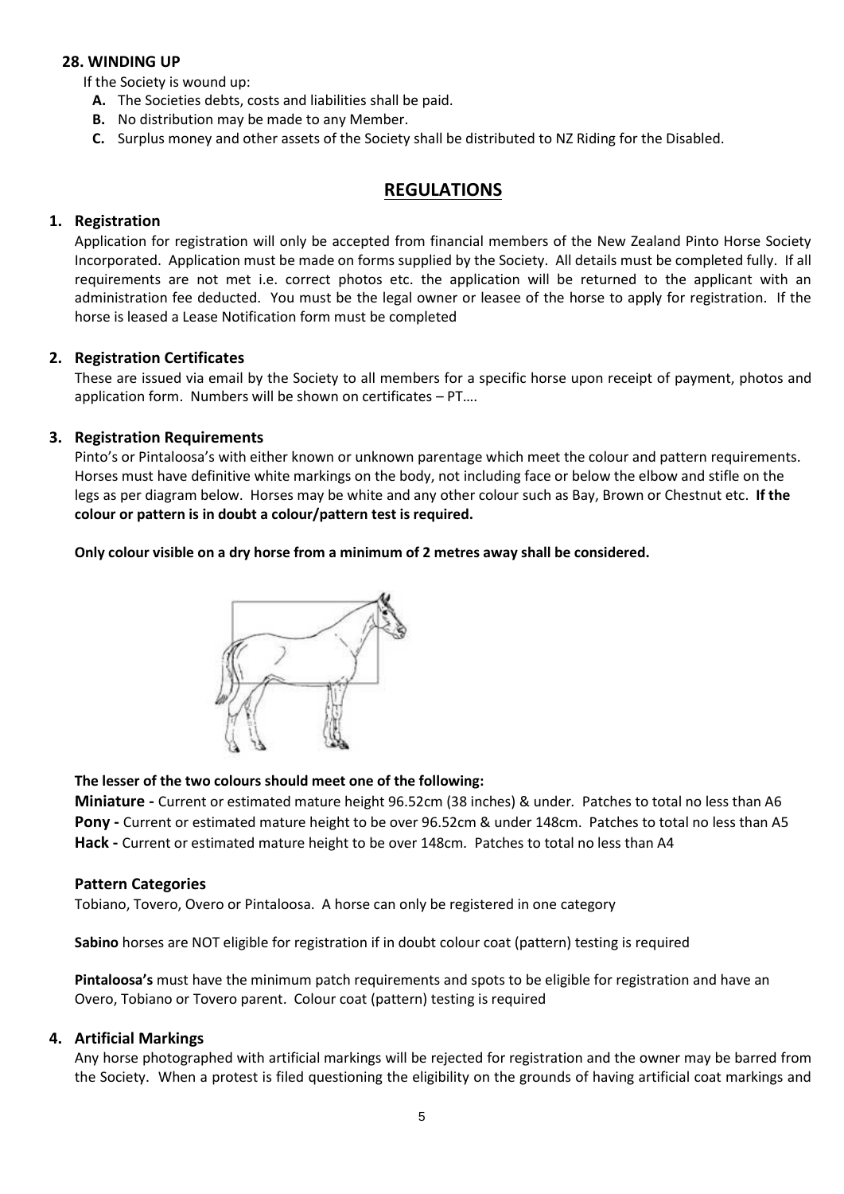## **28. WINDING UP**

If the Society is wound up:

- **A.** The Societies debts, costs and liabilities shall be paid.
- **B.** No distribution may be made to any Member.
- **C.** Surplus money and other assets of the Society shall be distributed to NZ Riding for the Disabled.

## **REGULATIONS**

## **1. Registration**

Application for registration will only be accepted from financial members of the New Zealand Pinto Horse Society Incorporated. Application must be made on forms supplied by the Society. All details must be completed fully. If all requirements are not met i.e. correct photos etc. the application will be returned to the applicant with an administration fee deducted. You must be the legal owner or leasee of the horse to apply for registration. If the horse is leased a Lease Notification form must be completed

## **2. Registration Certificates**

These are issued via email by the Society to all members for a specific horse upon receipt of payment, photos and application form. Numbers will be shown on certificates – PT….

## **3. Registration Requirements**

Pinto's or Pintaloosa's with either known or unknown parentage which meet the colour and pattern requirements. Horses must have definitive white markings on the body, not including face or below the elbow and stifle on the legs as per diagram below. Horses may be white and any other colour such as Bay, Brown or Chestnut etc. **If the colour or pattern is in doubt a colour/pattern test is required.**

**Only colour visible on a dry horse from a minimum of 2 metres away shall be considered.** 



## **The lesser of the two colours should meet one of the following:**

**Miniature -** Current or estimated mature height 96.52cm (38 inches) & under*.* Patches to total no less than A6 **Pony -** Current or estimated mature height to be over 96.52cm & under 148cm. Patches to total no less than A5 **Hack -** Current or estimated mature height to be over 148cm*.* Patches to total no less than A4

#### **Pattern Categories**

Tobiano, Tovero, Overo or Pintaloosa. A horse can only be registered in one category

**Sabino** horses are NOT eligible for registration if in doubt colour coat (pattern) testing is required

**Pintaloosa's** must have the minimum patch requirements and spots to be eligible for registration and have an Overo, Tobiano or Tovero parent. Colour coat (pattern) testing is required

## **4. Artificial Markings**

Any horse photographed with artificial markings will be rejected for registration and the owner may be barred from the Society. When a protest is filed questioning the eligibility on the grounds of having artificial coat markings and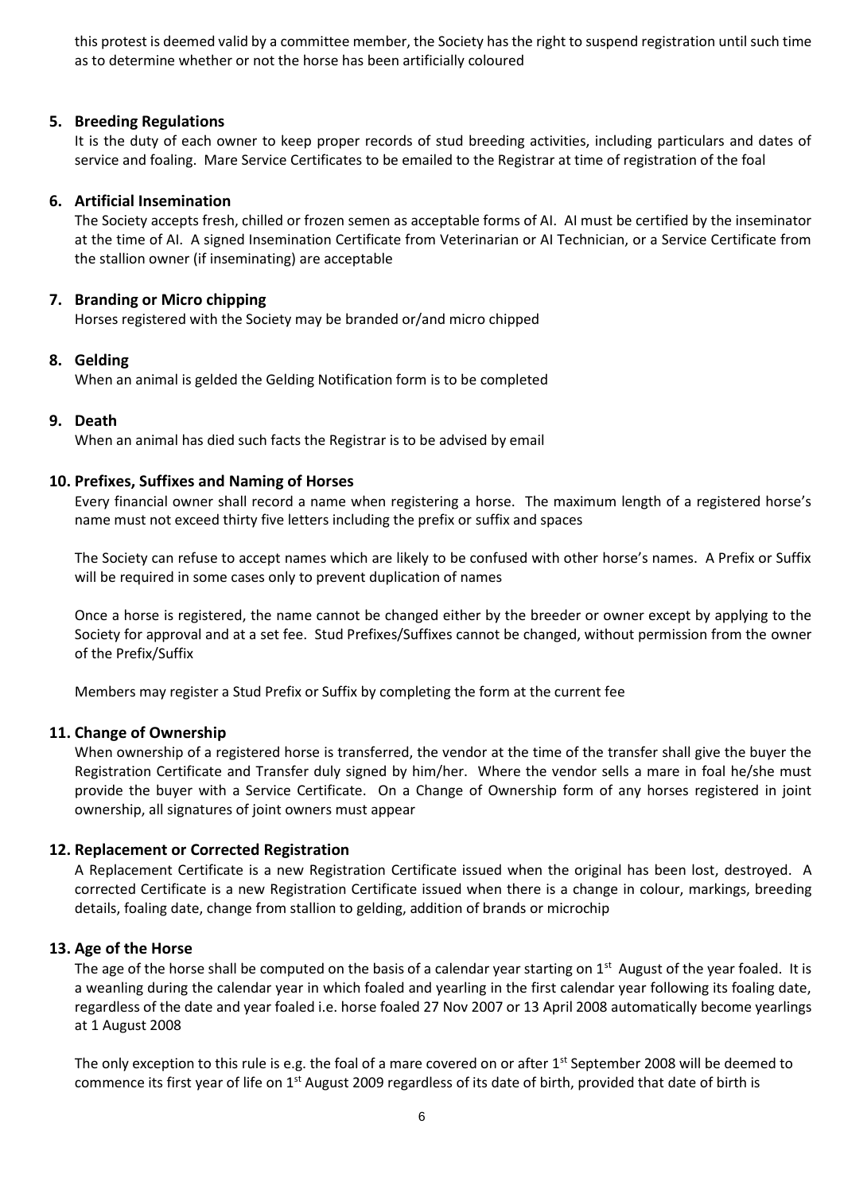this protest is deemed valid by a committee member, the Society has the right to suspend registration until such time as to determine whether or not the horse has been artificially coloured

#### **5. Breeding Regulations**

It is the duty of each owner to keep proper records of stud breeding activities, including particulars and dates of service and foaling. Mare Service Certificates to be emailed to the Registrar at time of registration of the foal

#### **6. Artificial Insemination**

The Society accepts fresh, chilled or frozen semen as acceptable forms of AI. AI must be certified by the inseminator at the time of AI. A signed Insemination Certificate from Veterinarian or AI Technician, or a Service Certificate from the stallion owner (if inseminating) are acceptable

## **7. Branding or Micro chipping**

Horses registered with the Society may be branded or/and micro chipped

## **8. Gelding**

When an animal is gelded the Gelding Notification form is to be completed

## **9. Death**

When an animal has died such facts the Registrar is to be advised by email

## **10. Prefixes, Suffixes and Naming of Horses**

Every financial owner shall record a name when registering a horse. The maximum length of a registered horse's name must not exceed thirty five letters including the prefix or suffix and spaces

The Society can refuse to accept names which are likely to be confused with other horse's names. A Prefix or Suffix will be required in some cases only to prevent duplication of names

Once a horse is registered, the name cannot be changed either by the breeder or owner except by applying to the Society for approval and at a set fee. Stud Prefixes/Suffixes cannot be changed, without permission from the owner of the Prefix/Suffix

Members may register a Stud Prefix or Suffix by completing the form at the current fee

#### **11. Change of Ownership**

When ownership of a registered horse is transferred, the vendor at the time of the transfer shall give the buyer the Registration Certificate and Transfer duly signed by him/her. Where the vendor sells a mare in foal he/she must provide the buyer with a Service Certificate. On a Change of Ownership form of any horses registered in joint ownership, all signatures of joint owners must appear

#### **12. Replacement or Corrected Registration**

A Replacement Certificate is a new Registration Certificate issued when the original has been lost, destroyed. A corrected Certificate is a new Registration Certificate issued when there is a change in colour, markings, breeding details, foaling date, change from stallion to gelding, addition of brands or microchip

#### **13. Age of the Horse**

The age of the horse shall be computed on the basis of a calendar year starting on  $1^{st}$  August of the year foaled. It is a weanling during the calendar year in which foaled and yearling in the first calendar year following its foaling date, regardless of the date and year foaled i.e. horse foaled 27 Nov 2007 or 13 April 2008 automatically become yearlings at 1 August 2008

The only exception to this rule is e.g. the foal of a mare covered on or after  $1<sup>st</sup>$  September 2008 will be deemed to commence its first year of life on  $1<sup>st</sup>$  August 2009 regardless of its date of birth, provided that date of birth is